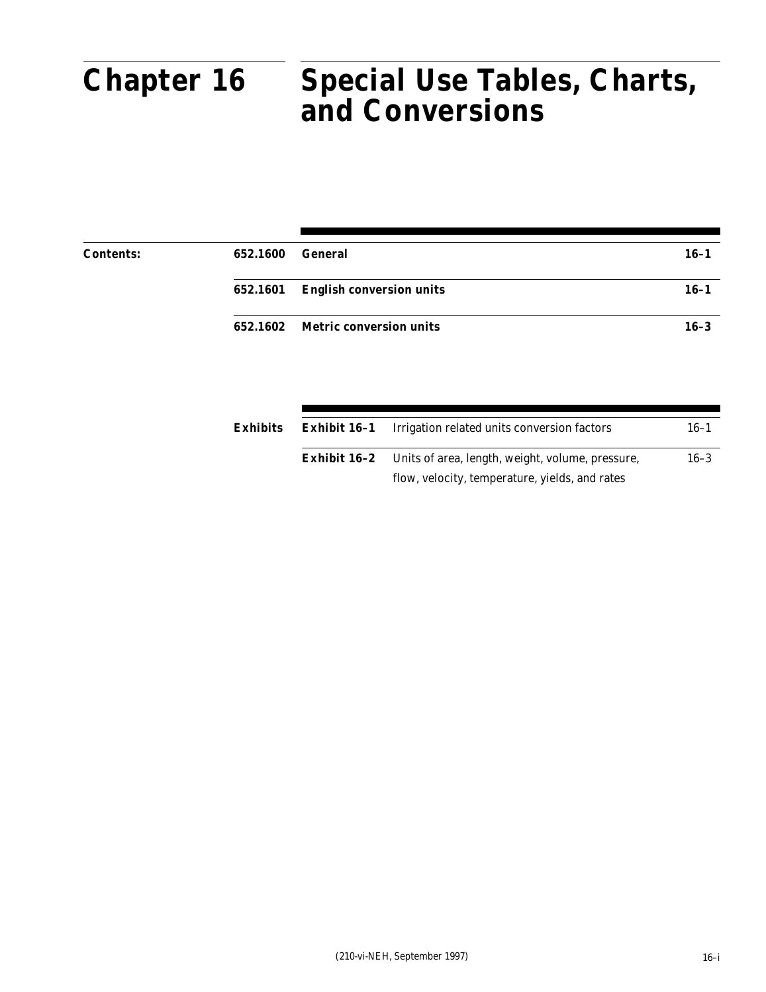# **Chapter 16**

#### Part 652 DI<del>ES</del>. UII **Special Use Tables, Charts, and Conversions Chapter 16 Special Use Tables, Charts, and Conversions**

| <b>Contents:</b> | 652.1600 | General                           | $16 - 1$ |
|------------------|----------|-----------------------------------|----------|
|                  |          | 652.1601 English conversion units | $16 - 1$ |
|                  |          | 652.1602 Metric conversion units  | $16 - 3$ |

| Exhibits |              | <b>Exhibit 16-1</b> Irrigation related units conversion factors | $16 - 1$ |
|----------|--------------|-----------------------------------------------------------------|----------|
|          | Exhibit 16–2 | Units of area, length, weight, volume, pressure,                | $16 - 3$ |
|          |              | flow, velocity, temperature, yields, and rates                  |          |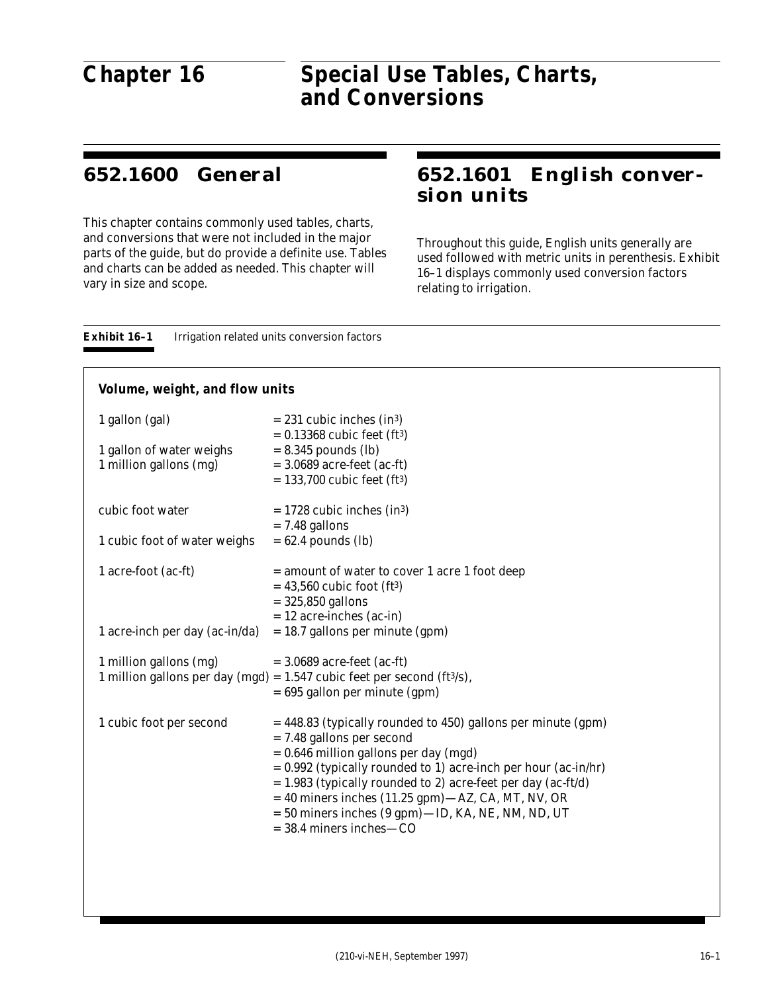## **Chapter 16**

#### $\boldsymbol{C}$ hc  $\sum_{i=1}^n$ **Special Use Tables, Charts, and Conversions Chapter 16 Special Use Tables, Charts, and Conversions**

## **652.1600 General**

This chapter contains commonly used tables, charts, and conversions that were not included in the major parts of the guide, but do provide a definite use. Tables and charts can be added as needed. This chapter will vary in size and scope.

## **652.1601 English conversion units**

Throughout this guide, English units generally are used followed with metric units in perenthesis. Exhibit 16–1 displays commonly used conversion factors relating to irrigation.

| Exhibit 16–1 | Irrigation related units conversion factors |  |  |  |
|--------------|---------------------------------------------|--|--|--|
|--------------|---------------------------------------------|--|--|--|

#### **Volume, weight, and flow units**

| 1 gallon (gal)<br>1 gallon of water weighs<br>1 million gallons (mg) | $= 231$ cubic inches (in <sup>3</sup> )<br>$= 0.13368$ cubic feet (ft <sup>3</sup> )<br>$= 8.345$ pounds (lb)<br>$= 3.0689$ acre-feet (ac-ft)<br>$= 133,700$ cubic feet (ft <sup>3</sup> )                                                                                                                                                                                                                                |
|----------------------------------------------------------------------|---------------------------------------------------------------------------------------------------------------------------------------------------------------------------------------------------------------------------------------------------------------------------------------------------------------------------------------------------------------------------------------------------------------------------|
| cubic foot water                                                     | $= 1728$ cubic inches (in <sup>3</sup> )<br>$= 7.48$ gallons                                                                                                                                                                                                                                                                                                                                                              |
| 1 cubic foot of water weighs                                         | $= 62.4$ pounds (lb)                                                                                                                                                                                                                                                                                                                                                                                                      |
| 1 acre-foot (ac-ft)                                                  | = amount of water to cover 1 acre 1 foot deep<br>$= 43,560$ cubic foot (ft <sup>3</sup> )<br>$= 325,850$ gallons<br>$= 12$ acre-inches (ac-in)                                                                                                                                                                                                                                                                            |
| 1 acre-inch per day (ac-in/da)                                       | $= 18.7$ gallons per minute (gpm)                                                                                                                                                                                                                                                                                                                                                                                         |
| 1 million gallons (mg)                                               | $=$ 3.0689 acre-feet (ac-ft)<br>1 million gallons per day (mgd) = $1.547$ cubic feet per second (ft $3/s$ ),<br>$= 695$ gallon per minute (gpm)                                                                                                                                                                                                                                                                           |
| 1 cubic foot per second                                              | = 448.83 (typically rounded to 450) gallons per minute (gpm)<br>= 7.48 gallons per second<br>$= 0.646$ million gallons per day (mgd)<br>= 0.992 (typically rounded to 1) acre-inch per hour (ac-in/hr)<br>$= 1.983$ (typically rounded to 2) acre-feet per day (ac-ft/d)<br>$=$ 40 miners inches (11.25 gpm) $-AZ$ , CA, MT, NV, OR<br>= 50 miners inches (9 gpm)-ID, KA, NE, NM, ND, UT<br>$=$ 38.4 miners inches $-$ CO |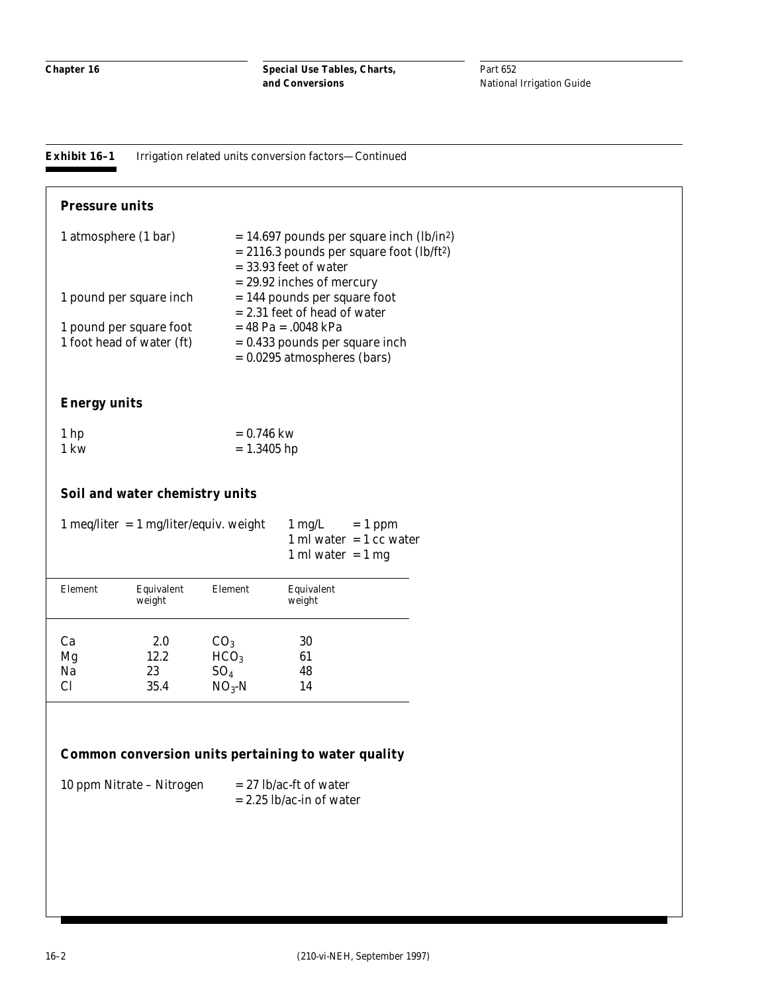**Special Use Tables, Charts, and Conversions**

Part 652 National Irrigation Guide

**Exhibit 16–1** Irrigation related units conversion factors—Continued

| $= 14.697$ pounds per square inch (lb/in <sup>2</sup> )<br>$= 2116.3$ pounds per square foot (lb/ft <sup>2</sup> ) |
|--------------------------------------------------------------------------------------------------------------------|
| $=$ 33.93 feet of water<br>$= 29.92$ inches of mercury                                                             |
| $= 144$ pounds per square foot<br>$= 2.31$ feet of head of water                                                   |
| $= 48$ Pa = .0048 kPa                                                                                              |
| $= 0.433$ pounds per square inch<br>$= 0.0295$ atmospheres (bars)                                                  |
|                                                                                                                    |

#### **Energy units**

| 1 <sub>hp</sub> | $= 0.746$ kw  |
|-----------------|---------------|
| 1 kw            | $= 1.3405$ hp |

#### **Soil and water chemistry units**

|         | $1 \text{ meq/liter} = 1 \text{ mg/liter/equiv}$ . weight | $1 \text{ mg/L}$<br>$= 1$ ppm<br>1 ml water $=$ 1 cc water<br>1 ml water $= 1$ mg |                      |  |
|---------|-----------------------------------------------------------|-----------------------------------------------------------------------------------|----------------------|--|
| Element | Equivalent<br>weight                                      | Element                                                                           | Equivalent<br>weight |  |
| Ca      | 2.0                                                       | CO <sub>3</sub>                                                                   | 30                   |  |
| Mg      | 12.2                                                      | HCO <sub>3</sub>                                                                  | 61                   |  |
| Na      | 23                                                        | SO <sub>4</sub>                                                                   | 48                   |  |
| Cl      | 35.4                                                      | $NO3$ -N                                                                          | 14                   |  |

### **Common conversion units pertaining to water quality**

| 10 ppm Nitrate – Nitrogen | $= 27$ lb/ac-ft of water   |
|---------------------------|----------------------------|
|                           | $= 2.25$ lb/ac-in of water |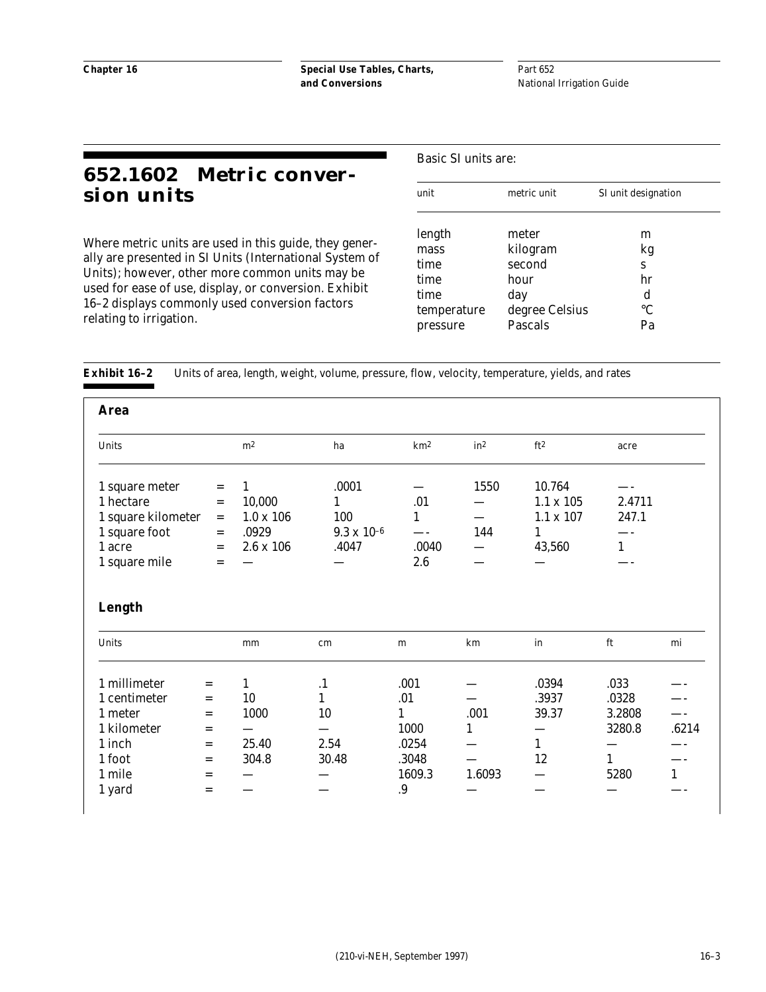Part 652 National Irrigation Guide

## **652.1602 Metric conversion units**

Where metric units are used in this guide, they generally are presented in SI Units (International System of Units); however, other more common units may be used for ease of use, display, or conversion. Exhibit 16–2 displays commonly used conversion factors relating to irrigation.

Basic SI units are:

| unit        | metric unit    | SI unit designation |
|-------------|----------------|---------------------|
|             |                |                     |
| length      | meter          | m                   |
| mass        | kilogram       | kg                  |
| time        | second         | S                   |
| time        | hour           | hr                  |
| time        | day            | d                   |
| temperature | degree Celsius | $\rm ^{\circ}C$     |
| pressure    | <b>Pascals</b> | Pa                  |

**Exhibit 16–2** Units of area, length, weight, volume, pressure, flow, velocity, temperature, yields, and rates

| <b>Area</b>                                       |                                                   |                                 |                      |                 |                 |                                                |                      |              |
|---------------------------------------------------|---------------------------------------------------|---------------------------------|----------------------|-----------------|-----------------|------------------------------------------------|----------------------|--------------|
| Units                                             |                                                   | m <sup>2</sup>                  | ha                   | km <sup>2</sup> | in <sup>2</sup> | ft <sup>2</sup>                                | acre                 |              |
| 1 square meter<br>1 hectare<br>1 square kilometer | $\hspace*{0.4em} = \hspace*{0.4em}$<br>$=$<br>$=$ | 1<br>10,000<br>$1.0 \times 106$ | .0001<br>1<br>100    | .01<br>1        | 1550            | 10.764<br>$1.1 \times 105$<br>$1.1 \times 107$ | 2.4711<br>247.1      |              |
| 1 square foot                                     | $=$                                               | .0929                           | $9.3 \times 10^{-6}$ |                 | 144             | 1                                              |                      |              |
| 1 acre<br>1 square mile                           | $=$<br>$=$                                        | $2.6 \times 106$                | .4047                | .0040<br>2.6    |                 | 43,560                                         | $\mathbf{1}$         |              |
| Length                                            |                                                   |                                 |                      |                 |                 |                                                |                      |              |
| Units                                             |                                                   | mm                              | cm                   | ${\bf m}$       | km              | in                                             | ft                   | mi           |
| 1 millimeter                                      | $=$                                               | 1                               | $\cdot$              | .001            |                 | .0394                                          | .033                 |              |
| 1 centimeter                                      | $=$                                               | 10                              | $\mathbf{1}$         | .01             |                 | .3937                                          | .0328                |              |
| 1 meter                                           | $=$                                               | 1000                            | 10                   | 1               | .001            | 39.37                                          | 3.2808               |              |
| 1 kilometer                                       | $=$                                               |                                 |                      | 1000            | $\mathbf{1}$    |                                                | 3280.8               | .6214        |
| 1 inch<br>1 foot                                  | $=$                                               | 25.40<br>304.8                  | 2.54<br>30.48        | .0254<br>.3048  |                 | $\mathbf{1}$<br>12                             |                      |              |
| 1 mile                                            | $=$                                               |                                 |                      | 1609.3          | 1.6093          |                                                | $\mathbf{1}$<br>5280 | $\mathbf{1}$ |
| 1 yard                                            | $=$<br>$=$                                        |                                 |                      | .9              |                 |                                                |                      |              |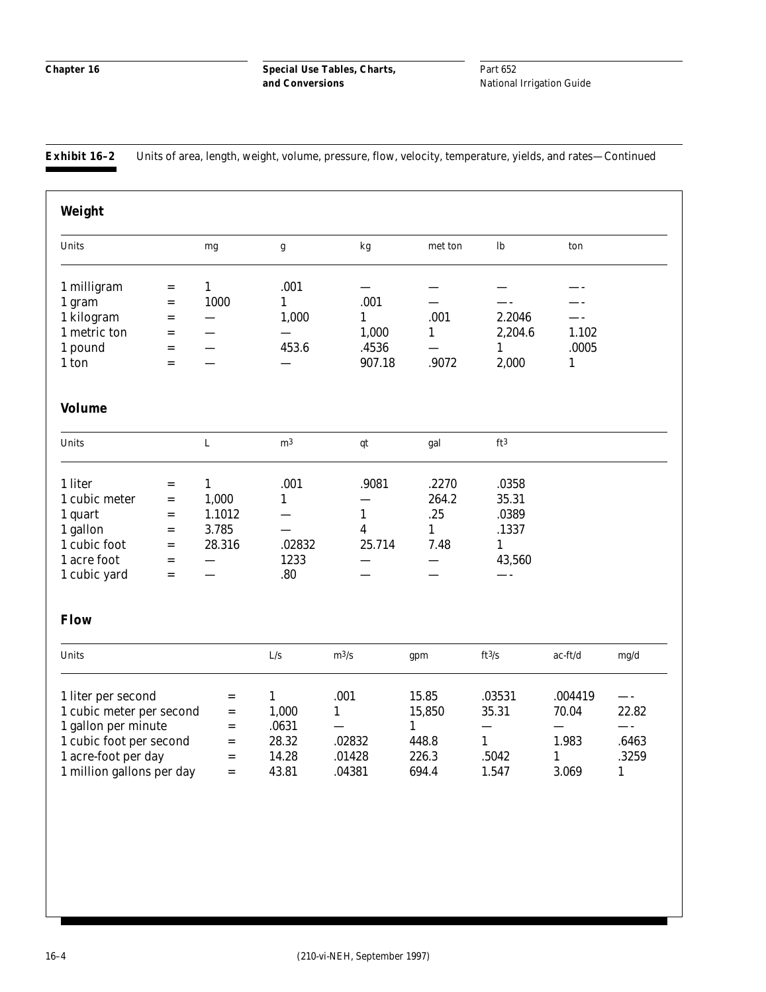Part 652 National Irrigation Guide

**Exhibit 16–2** Units of area, length, weight, volume, pressure, flow, velocity, temperature, yields, and rates—Continued

| Weight                    |     |              |                |                          |              |                 |                          |              |
|---------------------------|-----|--------------|----------------|--------------------------|--------------|-----------------|--------------------------|--------------|
| Units                     |     | mg           | g              | kg                       | met ton      | lb              | ton                      |              |
| 1 milligram               | $=$ | $\mathbf{1}$ | .001           | $\overline{\phantom{0}}$ |              |                 |                          |              |
| 1 gram                    | $=$ | 1000         | $\mathbf{1}$   | .001                     |              |                 |                          |              |
| 1 kilogram                | $=$ |              | 1,000          | $\mathbf{1}$             | .001         | 2.2046          | $\overline{\phantom{a}}$ |              |
| 1 metric ton              | $=$ |              |                | 1,000                    | 1            | 2,204.6         | 1.102                    |              |
| 1 pound                   | $=$ |              | 453.6          | .4536                    |              | 1               | .0005                    |              |
| 1 ton                     | $=$ |              |                | 907.18                   | .9072        | 2,000           | 1                        |              |
| <b>Volume</b>             |     |              |                |                          |              |                 |                          |              |
| Units                     |     | $\mathbf L$  | m <sup>3</sup> | qt                       | gal          | ft <sup>3</sup> |                          |              |
| 1 liter                   | $=$ | $\mathbf{1}$ | .001           | .9081                    | .2270        | .0358           |                          |              |
| 1 cubic meter             | $=$ | 1,000        | $\mathbf{1}$   |                          | 264.2        | 35.31           |                          |              |
| 1 quart                   | $=$ | 1.1012       |                | $\mathbf{1}$             | .25          | .0389           |                          |              |
| 1 gallon                  | $=$ | 3.785        |                | 4                        | $\mathbf{1}$ | .1337           |                          |              |
| 1 cubic foot              | $=$ | 28.316       | .02832         | 25.714                   | 7.48         | $\mathbf{1}$    |                          |              |
| 1 acre foot               | $=$ |              | 1233           |                          |              | 43,560          |                          |              |
| 1 cubic yard              | $=$ |              | .80            |                          |              |                 |                          |              |
| <b>Flow</b>               |     |              |                |                          |              |                 |                          |              |
| Units                     |     |              | L/s            | $m^3/s$                  | gpm          | ft3/s           | ac-ft/d                  | mg/d         |
| 1 liter per second        |     | $=$          | $\mathbf{1}$   | .001                     | 15.85        | .03531          | .004419                  |              |
| 1 cubic meter per second  |     | $=$          | 1,000          | $\mathbf{1}$             | 15,850       | 35.31           | 70.04                    | 22.82        |
| 1 gallon per minute       |     | $=$          | .0631          |                          | $\mathbf{1}$ | $\equiv$        | $\overline{\phantom{0}}$ | —-           |
| 1 cubic foot per second   |     | $=$          | 28.32          | .02832                   | 448.8        | $\mathbf{1}$    | 1.983                    | .6463        |
| 1 acre-foot per day       |     | $=$          | 14.28          | .01428                   | 226.3        | .5042           | $\mathbf{1}$             | .3259        |
| 1 million gallons per day |     | $=$          | 43.81          | .04381                   | 694.4        | 1.547           | 3.069                    | $\mathbf{1}$ |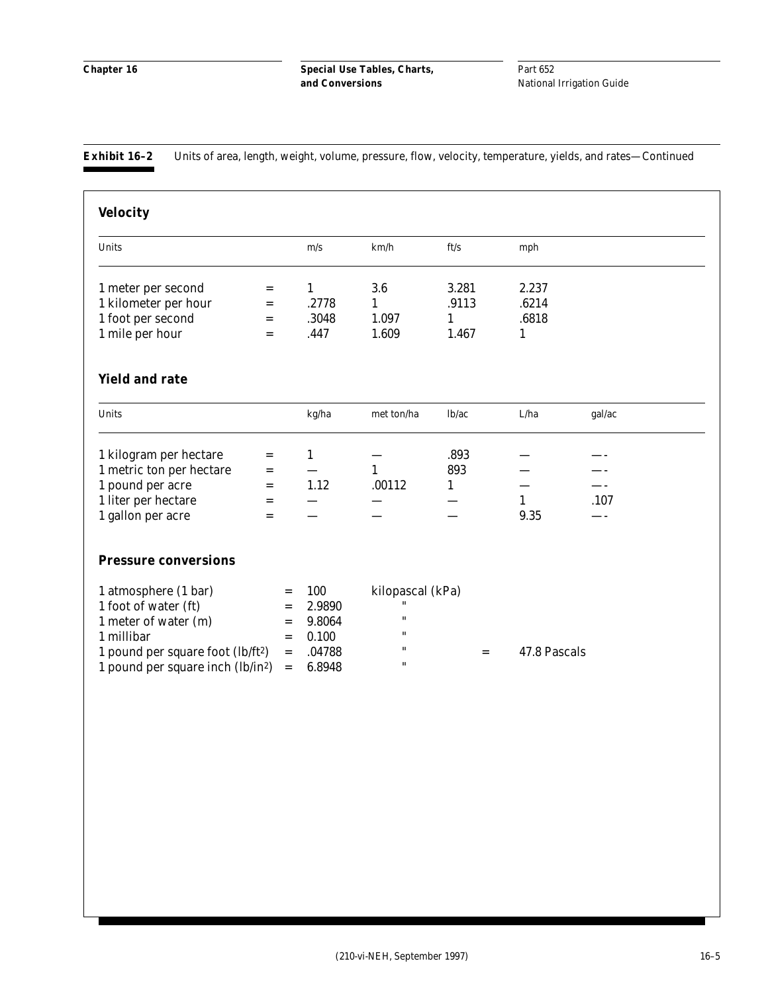**Exhibit 16–2** Units of area, length, weight, volume, pressure, flow, velocity, temperature, yields, and rates—Continued

| <b>Velocity</b>                                                                                |                                   |                          |                    |              |              |        |
|------------------------------------------------------------------------------------------------|-----------------------------------|--------------------------|--------------------|--------------|--------------|--------|
| Units                                                                                          |                                   | m/s                      | km/h               | ft/s         | mph          |        |
| 1 meter per second                                                                             | $=$                               | $\mathbf{1}$             | 3.6                | 3.281        | 2.237        |        |
| 1 kilometer per hour                                                                           | $=$                               | .2778                    | $\mathbf{1}$       | .9113        | .6214        |        |
| 1 foot per second                                                                              | $=$                               | .3048                    | 1.097              | $\mathbf{1}$ | .6818        |        |
| 1 mile per hour                                                                                | $=$                               | .447                     | 1.609              | 1.467        | 1            |        |
| <b>Yield and rate</b>                                                                          |                                   |                          |                    |              |              |        |
| Units                                                                                          |                                   | kg/ha                    | met ton/ha         | lb/ac        | ${\rm L/ha}$ | gal/ac |
| 1 kilogram per hectare                                                                         | $=$                               | $\mathbf{1}$             |                    | .893         |              |        |
| 1 metric ton per hectare                                                                       | $=$                               | $\overline{\phantom{0}}$ | $\mathbf{1}$       | 893          |              |        |
| 1 pound per acre                                                                               | $=$                               | 1.12                     | .00112             | $\mathbf{1}$ |              |        |
| 1 liter per hectare                                                                            | $=$                               |                          |                    |              | $\mathbf{1}$ | .107   |
| 1 gallon per acre                                                                              | $=$                               |                          |                    |              | 9.35         |        |
| <b>Pressure conversions</b>                                                                    |                                   |                          |                    |              |              |        |
| 1 atmosphere (1 bar)                                                                           | $=$                               | 100                      | kilopascal (kPa)   |              |              |        |
| 1 foot of water (ft)                                                                           | $=$                               | 2.9890                   | $\pmb{\mathsf{H}}$ |              |              |        |
| 1 meter of water (m)                                                                           | $=$                               | 9.8064                   | $\pmb{\mathsf{H}}$ |              |              |        |
| 1 millibar                                                                                     | $\qquad \qquad =$                 | 0.100                    | 11                 |              |              |        |
|                                                                                                | $=$                               | .04788                   |                    | $=$          | 47.8 Pascals |        |
| 1 pound per square foot (lb/ft <sup>2</sup> )<br>1 pound per square inch (lb/in <sup>2</sup> ) | $\hspace{0.1in} = \hspace{0.1in}$ | 6.8948                   | 11                 |              |              |        |